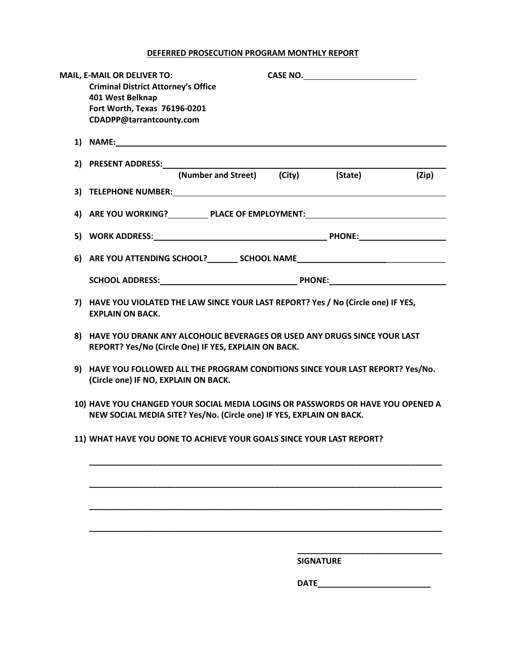## **DEFERRED PROSECUTION PROGRAM MONTHLY REPORT**

|  | MAIL, E-MAIL OR DELIVER TO:                                                                                                                                                                                                   |      |                  |       |
|--|-------------------------------------------------------------------------------------------------------------------------------------------------------------------------------------------------------------------------------|------|------------------|-------|
|  | <b>Criminal District Attorney's Office</b>                                                                                                                                                                                    |      |                  |       |
|  | 401 West Belknap                                                                                                                                                                                                              |      |                  |       |
|  | Fort Worth, Texas 76196-0201                                                                                                                                                                                                  |      |                  |       |
|  | CDADPP@tarrantcounty.com                                                                                                                                                                                                      |      |                  |       |
|  |                                                                                                                                                                                                                               |      |                  |       |
|  | 1) NAME: North Contract Contract Contract Contract Contract Contract Contract Contract Contract Contract Contract Contract Contract Contract Contract Contract Contract Contract Contract Contract Contract Contract Contract |      |                  |       |
|  |                                                                                                                                                                                                                               |      |                  |       |
|  | (Number and Street) (City) (State)                                                                                                                                                                                            |      |                  | (Zip) |
|  |                                                                                                                                                                                                                               |      |                  |       |
|  |                                                                                                                                                                                                                               |      |                  |       |
|  |                                                                                                                                                                                                                               |      |                  |       |
|  | 4) ARE YOU WORKING? PLACE OF EMPLOYMENT:                                                                                                                                                                                      |      |                  |       |
|  |                                                                                                                                                                                                                               |      |                  |       |
|  |                                                                                                                                                                                                                               |      |                  |       |
|  | 6) ARE YOU ATTENDING SCHOOL? ________ SCHOOL NAME ______________________________                                                                                                                                              |      |                  |       |
|  |                                                                                                                                                                                                                               |      |                  |       |
|  |                                                                                                                                                                                                                               |      |                  |       |
|  |                                                                                                                                                                                                                               |      |                  |       |
|  | 7) HAVE YOU VIOLATED THE LAW SINCE YOUR LAST REPORT? Yes / No (Circle one) IF YES,                                                                                                                                            |      |                  |       |
|  | <b>EXPLAIN ON BACK.</b>                                                                                                                                                                                                       |      |                  |       |
|  | 8) HAVE YOU DRANK ANY ALCOHOLIC BEVERAGES OR USED ANY DRUGS SINCE YOUR LAST                                                                                                                                                   |      |                  |       |
|  | REPORT? Yes/No (Circle One) IF YES, EXPLAIN ON BACK.                                                                                                                                                                          |      |                  |       |
|  |                                                                                                                                                                                                                               |      |                  |       |
|  | 9) HAVE YOU FOLLOWED ALL THE PROGRAM CONDITIONS SINCE YOUR LAST REPORT? Yes/No.<br>(Circle one) IF NO, EXPLAIN ON BACK.                                                                                                       |      |                  |       |
|  |                                                                                                                                                                                                                               |      |                  |       |
|  |                                                                                                                                                                                                                               |      |                  |       |
|  | 10) HAVE YOU CHANGED YOUR SOCIAL MEDIA LOGINS OR PASSWORDS OR HAVE YOU OPENED A                                                                                                                                               |      |                  |       |
|  | NEW SOCIAL MEDIA SITE? Yes/No. (Circle one) IF YES, EXPLAIN ON BACK.                                                                                                                                                          |      |                  |       |
|  |                                                                                                                                                                                                                               |      |                  |       |
|  | 11) WHAT HAVE YOU DONE TO ACHIEVE YOUR GOALS SINCE YOUR LAST REPORT?                                                                                                                                                          |      |                  |       |
|  |                                                                                                                                                                                                                               |      |                  |       |
|  |                                                                                                                                                                                                                               |      |                  |       |
|  |                                                                                                                                                                                                                               |      |                  |       |
|  |                                                                                                                                                                                                                               |      |                  |       |
|  |                                                                                                                                                                                                                               |      |                  |       |
|  |                                                                                                                                                                                                                               |      |                  |       |
|  |                                                                                                                                                                                                                               |      |                  |       |
|  |                                                                                                                                                                                                                               |      |                  |       |
|  |                                                                                                                                                                                                                               |      |                  |       |
|  |                                                                                                                                                                                                                               |      | <b>SIGNATURE</b> |       |
|  |                                                                                                                                                                                                                               |      |                  |       |
|  |                                                                                                                                                                                                                               | DATE |                  |       |
|  |                                                                                                                                                                                                                               |      |                  |       |
|  |                                                                                                                                                                                                                               |      |                  |       |